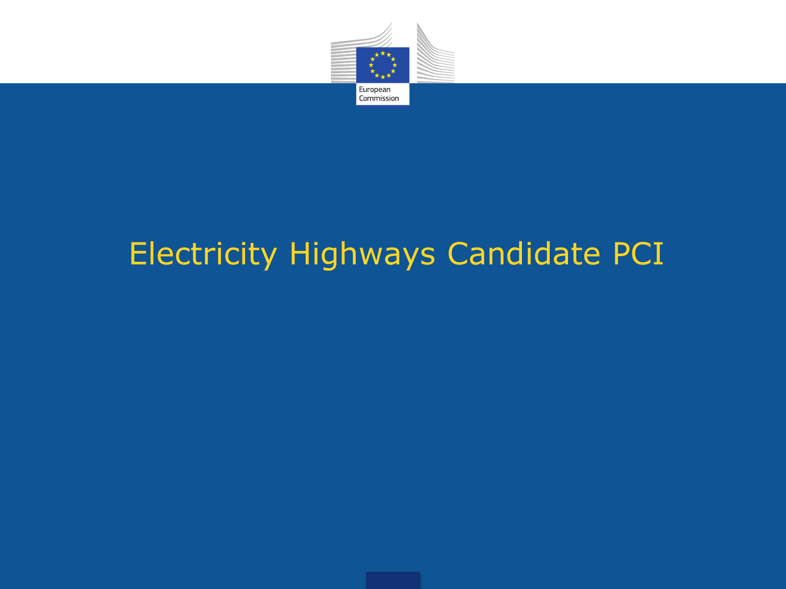

#### Electricity Highways Candidate PCI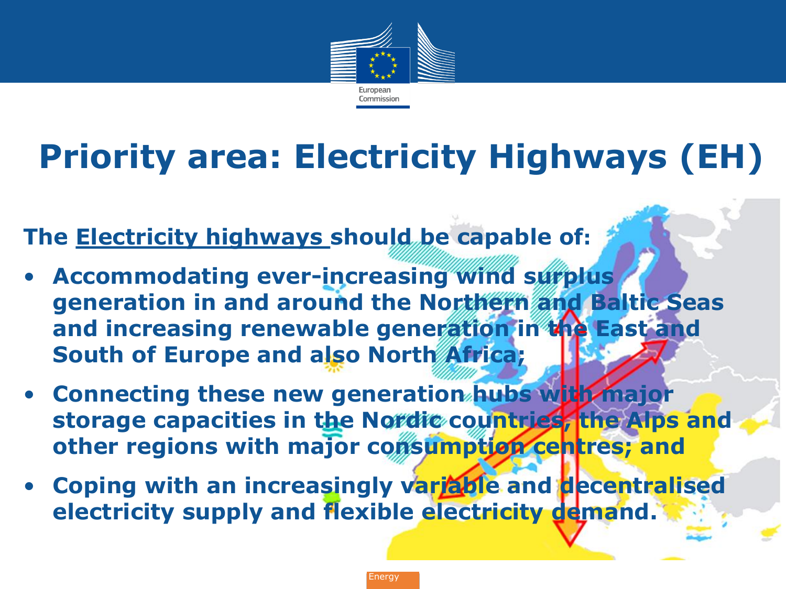

## **Priority area: Electricity Highways (EH)**

**The Electricity highways should be capable of:**

- **Accommodating ever-increasing wind surplus generation in and around the Northern and Baltic Seas and increasing renewable generation in the East and South of Europe and also North Africa;**
- **Connecting these new generation hubs with major storage capacities in the Nordic countries, the Alps and**  other regions with major consumption centres; and
- **Coping with an increasingly variable and decentralised electricity supply and flexible electricity demand.**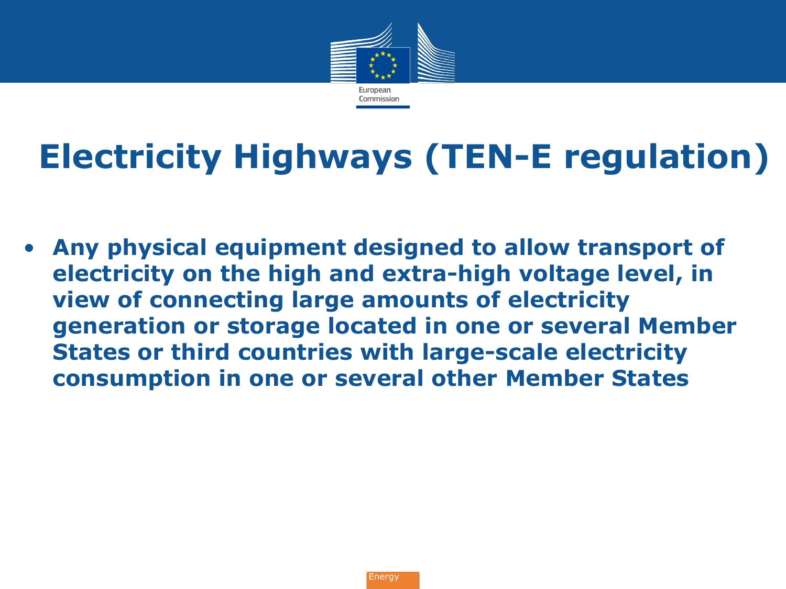

# **Electricity Highways (TEN-E regulation)**

• **Any physical equipment designed to allow transport of electricity on the high and extra-high voltage level, in view of connecting large amounts of electricity generation or storage located in one or several Member States or third countries with large-scale electricity consumption in one or several other Member States**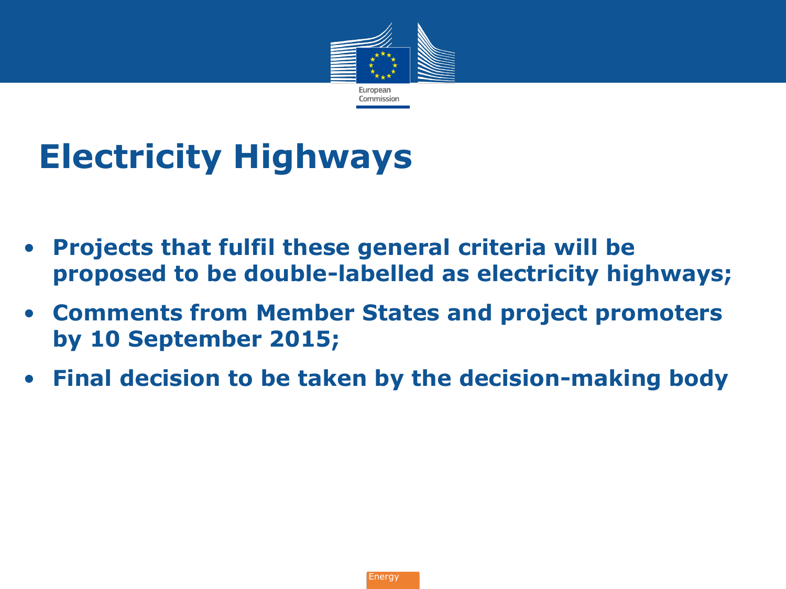

# **Electricity Highways**

- **Projects that fulfil these general criteria will be proposed to be double-labelled as electricity highways;**
- **Comments from Member States and project promoters by 10 September 2015;**
- **Final decision to be taken by the decision-making body**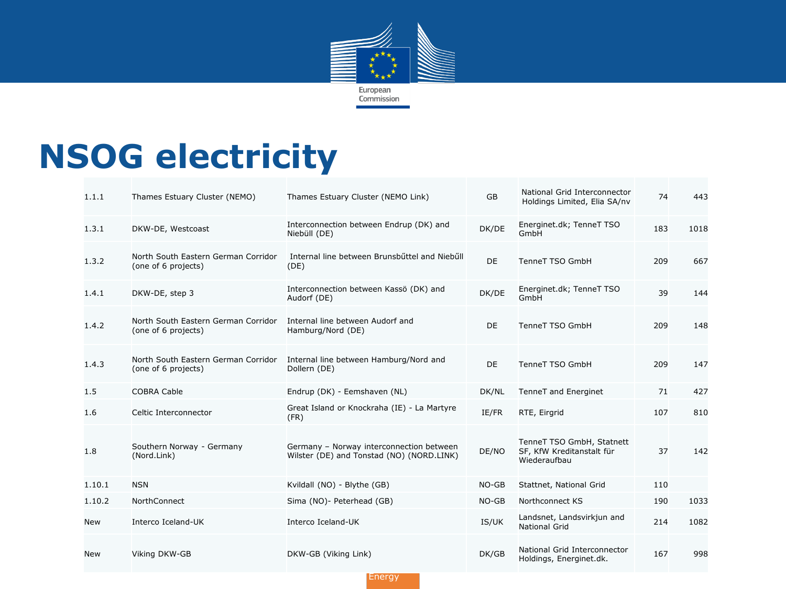

#### **NSOG electricity**

| 1.1.1  | Thames Estuary Cluster (NEMO)                              | Thames Estuary Cluster (NEMO Link)                                                    | <b>GB</b> | National Grid Interconnector<br>Holdings Limited, Elia SA/nv           | 74  | 443  |
|--------|------------------------------------------------------------|---------------------------------------------------------------------------------------|-----------|------------------------------------------------------------------------|-----|------|
| 1.3.1  | DKW-DE, Westcoast                                          | Interconnection between Endrup (DK) and<br>Niebüll (DE)                               | DK/DE     | Energinet.dk; TenneT TSO<br>GmbH                                       | 183 | 1018 |
| 1.3.2  | North South Eastern German Corridor<br>(one of 6 projects) | Internal line between Brunsbüttel and Niebüll<br>(DE)                                 | <b>DE</b> | <b>TenneT TSO GmbH</b>                                                 | 209 | 667  |
| 1.4.1  | DKW-DE, step 3                                             | Interconnection between Kassö (DK) and<br>Audorf (DE)                                 | DK/DE     | Energinet.dk; TenneT TSO<br>GmbH                                       | 39  | 144  |
| 1.4.2  | North South Eastern German Corridor<br>(one of 6 projects) | Internal line between Audorf and<br>Hamburg/Nord (DE)                                 | DE        | <b>TenneT TSO GmbH</b>                                                 | 209 | 148  |
| 1.4.3  | North South Eastern German Corridor<br>(one of 6 projects) | Internal line between Hamburg/Nord and<br>Dollern (DE)                                | DE        | <b>TenneT TSO GmbH</b>                                                 | 209 | 147  |
| 1.5    | <b>COBRA Cable</b>                                         | Endrup (DK) - Eemshaven (NL)                                                          | DK/NL     | TenneT and Energinet                                                   | 71  | 427  |
| 1.6    | Celtic Interconnector                                      | Great Island or Knockraha (IE) - La Martyre<br>(FR)                                   | IE/FR     | RTE, Eirgrid                                                           | 107 | 810  |
| 1.8    | Southern Norway - Germany<br>(Nord.Link)                   | Germany - Norway interconnection between<br>Wilster (DE) and Tonstad (NO) (NORD.LINK) | DE/NO     | TenneT TSO GmbH, Statnett<br>SF, KfW Kreditanstalt für<br>Wiederaufbau | 37  | 142  |
| 1.10.1 | <b>NSN</b>                                                 | Kvildall (NO) - Blythe (GB)                                                           | $NO-GB$   | Stattnet, National Grid                                                | 110 |      |
| 1.10.2 | <b>NorthConnect</b>                                        | Sima (NO)- Peterhead (GB)                                                             | $NO-GB$   | Northconnect KS                                                        | 190 | 1033 |
| New    | Interco Iceland-UK                                         | Interco Iceland-UK                                                                    | IS/UK     | Landsnet, Landsvirkjun and<br><b>National Grid</b>                     | 214 | 1082 |
| New    | Viking DKW-GB                                              | DKW-GB (Viking Link)                                                                  | DK/GB     | National Grid Interconnector<br>Holdings, Energinet.dk.                | 167 | 998  |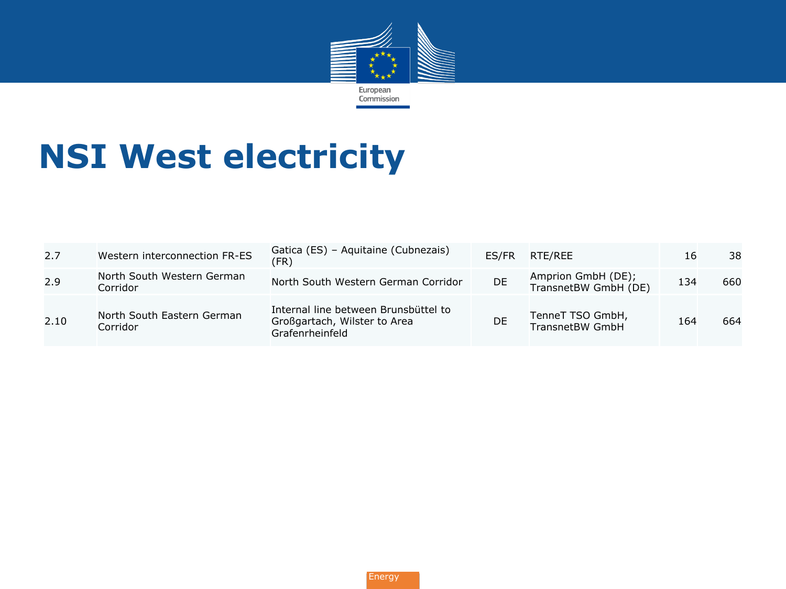

### **NSI West electricity**

| 2.7  | Western interconnection FR-ES          | Gatica (ES) - Aquitaine (Cubnezais)<br>(FR)                                             | ES/FR | RTE/REE                                    | 16  | 38  |
|------|----------------------------------------|-----------------------------------------------------------------------------------------|-------|--------------------------------------------|-----|-----|
| 2.9  | North South Western German<br>Corridor | North South Western German Corridor                                                     | DE.   | Amprion GmbH (DE);<br>TransnetBW GmbH (DE) | 134 | 660 |
| 2.10 | North South Eastern German<br>Corridor | Internal line between Brunsbüttel to<br>Großgartach, Wilster to Area<br>Grafenrheinfeld | DE    | TenneT TSO GmbH,<br>TransnetBW GmbH        | 164 | 664 |